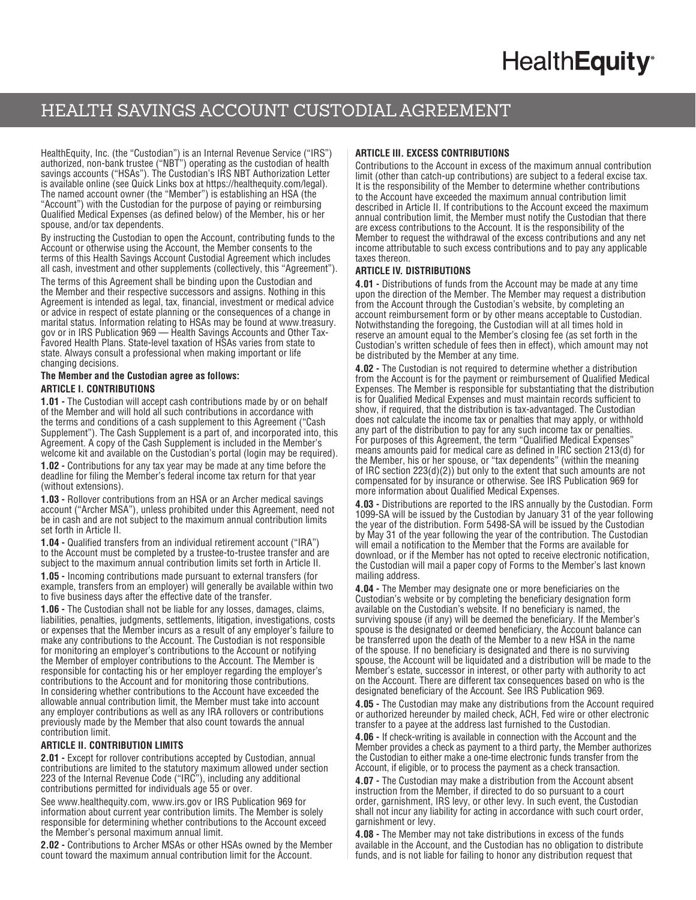# **HealthEquity®**

# HEALTH SAVINGS ACCOUNT CUSTODIAL AGREEMENT

HealthEquity, Inc. (the "Custodian") is an Internal Revenue Service ("IRS") authorized, non-bank trustee ("NBT") operating as the custodian of health savings accounts ("HSAs"). The Custodian's IRS NBT Authorization Letter is available online (see Quick Links box at https://healthequity.com/legal). The named account owner (the "Member") is establishing an HSA (the "Account") with the Custodian for the purpose of paying or reimbursing Qualified Medical Expenses (as defined below) of the Member, his or her spouse, and/or tax dependents.

By instructing the Custodian to open the Account, contributing funds to the Account or otherwise using the Account, the Member consents to the terms of this Health Savings Account Custodial Agreement which includes all cash, investment and other supplements (collectively, this "Agreement").

The terms of this Agreement shall be binding upon the Custodian and the Member and their respective successors and assigns. Nothing in this Agreement is intended as legal, tax, financial, investment or medical advice or advice in respect of estate planning or the consequences of a change in marital status. Information relating to HSAs may be found at [www.treasury.](http://www.treasury.gov) [gov](http://www.treasury.gov) or in IRS Publication 969 — Health Savings Accounts and Other Tax-Favored Health Plans. State-level taxation of HSAs varies from state to state. Always consult a professional when making important or life changing decisions.

#### **The Member and the Custodian agree as follows: ARTICLE I. CONTRIBUTIONS**

**1.01 -** The Custodian will accept cash contributions made by or on behalf of the Member and will hold all such contributions in accordance with the terms and conditions of a cash supplement to this Agreement ("Cash Supplement"). The Cash Supplement is a part of, and incorporated into, this Agreement. A copy of the Cash Supplement is included in the Member's welcome kit and available on the Custodian's portal (login may be required).

**1.02 -** Contributions for any tax year may be made at any time before the deadline for filing the Member's federal income tax return for that year (without extensions).

**1.03 -** Rollover contributions from an HSA or an Archer medical savings account ("Archer MSA"), unless prohibited under this Agreement, need not be in cash and are not subject to the maximum annual contribution limits set forth in Article II.

**1.04 -** Qualified transfers from an individual retirement account ("IRA") to the Account must be completed by a trustee-to-trustee transfer and are subject to the maximum annual contribution limits set forth in Article II.

**1.05 -** Incoming contributions made pursuant to external transfers (for example, transfers from an employer) will generally be available within two to five business days after the effective date of the transfer.

**1.06 -** The Custodian shall not be liable for any losses, damages, claims, liabilities, penalties, judgments, settlements, litigation, investigations, costs or expenses that the Member incurs as a result of any employer's failure to make any contributions to the Account. The Custodian is not responsible for monitoring an employer's contributions to the Account or notifying the Member of employer contributions to the Account. The Member is responsible for contacting his or her employer regarding the employer's contributions to the Account and for monitoring those contributions. In considering whether contributions to the Account have exceeded the allowable annual contribution limit, the Member must take into account any employer contributions as well as any IRA rollovers or contributions previously made by the Member that also count towards the annual contribution limit.

### **ARTICLE II. CONTRIBUTION LIMITS**

**2.01 -** Except for rollover contributions accepted by Custodian, annual contributions are limited to the statutory maximum allowed under section 223 of the Internal Revenue Code ("IRC"), including any additional contributions permitted for individuals age 55 or over.

See www.healthequity.com, www.irs.gov or IRS Publication 969 for information about current year contribution limits. The Member is solely responsible for determining whether contributions to the Account exceed the Member's personal maximum annual limit.

**2.02 -** Contributions to Archer MSAs or other HSAs owned by the Member count toward the maximum annual contribution limit for the Account.

# **ARTICLE III. EXCESS CONTRIBUTIONS**

Contributions to the Account in excess of the maximum annual contribution limit (other than catch-up contributions) are subject to a federal excise tax. It is the responsibility of the Member to determine whether contributions to the Account have exceeded the maximum annual contribution limit described in Article II. If contributions to the Account exceed the maximum annual contribution limit, the Member must notify the Custodian that there are excess contributions to the Account. It is the responsibility of the Member to request the withdrawal of the excess contributions and any net income attributable to such excess contributions and to pay any applicable taxes thereon.

#### **ARTICLE IV. DISTRIBUTIONS**

**4.01 -** Distributions of funds from the Account may be made at any time upon the direction of the Member. The Member may request a distribution from the Account through the Custodian's website, by completing an account reimbursement form or by other means acceptable to Custodian. Notwithstanding the foregoing, the Custodian will at all times hold in reserve an amount equal to the Member's closing fee (as set forth in the Custodian's written schedule of fees then in effect), which amount may not be distributed by the Member at any time.

**4.02 -** The Custodian is not required to determine whether a distribution from the Account is for the payment or reimbursement of Qualified Medical Expenses. The Member is responsible for substantiating that the distribution is for Qualified Medical Expenses and must maintain records sufficient to show, if required, that the distribution is tax-advantaged. The Custodian does not calculate the income tax or penalties that may apply, or withhold any part of the distribution to pay for any such income tax or penalties. For purposes of this Agreement, the term "Qualified Medical Expenses" means amounts paid for medical care as defined in IRC section 213(d) for the Member, his or her spouse, or "tax dependents" (within the meaning of IRC section 223(d)(2)) but only to the extent that such amounts are not compensated for by insurance or otherwise. See IRS Publication 969 for more information about Qualified Medical Expenses.

**4.03 -** Distributions are reported to the IRS annually by the Custodian. Form 1099-SA will be issued by the Custodian by January 31 of the year following the year of the distribution. Form 5498-SA will be issued by the Custodian by May 31 of the year following the year of the contribution. The Custodian will email a notification to the Member that the Forms are available for download, or if the Member has not opted to receive electronic notification, the Custodian will mail a paper copy of Forms to the Member's last known mailing address.

**4.04 -** The Member may designate one or more beneficiaries on the Custodian's website or by completing the beneficiary designation form available on the Custodian's website. If no beneficiary is named, the surviving spouse (if any) will be deemed the beneficiary. If the Member's spouse is the designated or deemed beneficiary, the Account balance can be transferred upon the death of the Member to a new HSA in the name of the spouse. If no beneficiary is designated and there is no surviving spouse, the Account will be liquidated and a distribution will be made to the Member's estate, successor in interest, or other party with authority to act on the Account. There are different tax consequences based on who is the designated beneficiary of the Account. See IRS Publication 969.

**4.05 -** The Custodian may make any distributions from the Account required or authorized hereunder by mailed check, ACH, Fed wire or other electronic transfer to a payee at the address last furnished to the Custodian.

**4.06 -** If check-writing is available in connection with the Account and the Member provides a check as payment to a third party, the Member authorizes the Custodian to either make a one-time electronic funds transfer from the Account, if eligible, or to process the payment as a check transaction.

**4.07 -** The Custodian may make a distribution from the Account absent instruction from the Member, if directed to do so pursuant to a court order, garnishment, IRS levy, or other levy. In such event, the Custodian shall not incur any liability for acting in accordance with such court order, garnishment or levy.

**4.08 -** The Member may not take distributions in excess of the funds available in the Account, and the Custodian has no obligation to distribute funds, and is not liable for failing to honor any distribution request that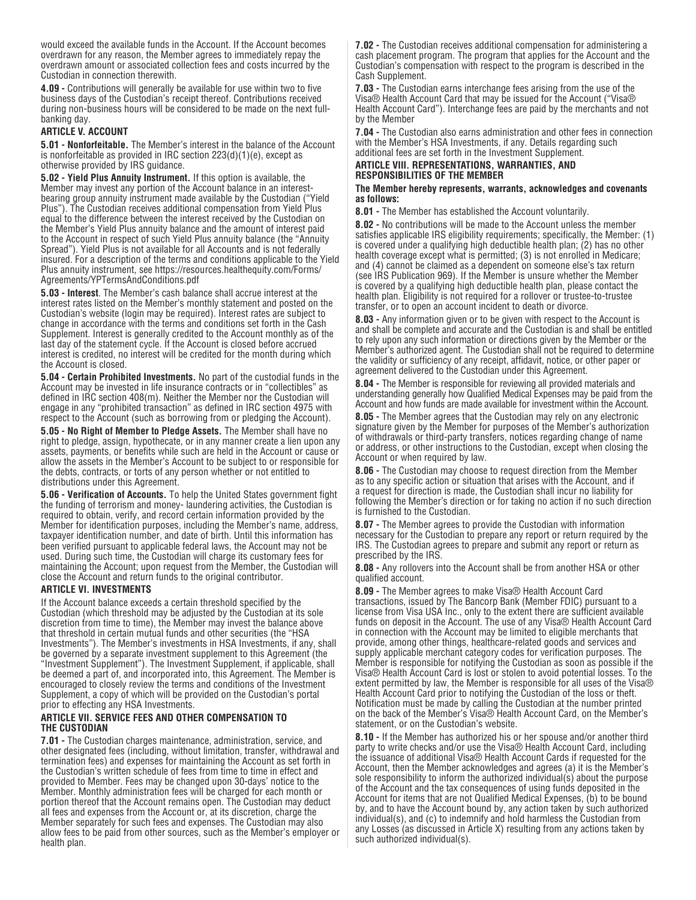would exceed the available funds in the Account. If the Account becomes overdrawn for any reason, the Member agrees to immediately repay the overdrawn amount or associated collection fees and costs incurred by the Custodian in connection therewith.

**4.09 -** Contributions will generally be available for use within two to five business days of the Custodian's receipt thereof. Contributions received during non-business hours will be considered to be made on the next fullbanking day.

#### **ARTICLE V. ACCOUNT**

**5.01 - Nonforfeitable.** The Member's interest in the balance of the Account is nonforfeitable as provided in IRC section 223(d)(1)(e), except as otherwise provided by IRS guidance.

**5.02 - Yield Plus Annuity Instrument.** If this option is available, the Member may invest any portion of the Account balance in an interestbearing group annuity instrument made available by the Custodian ("Yield Plus"). The Custodian receives additional compensation from Yield Plus equal to the difference between the interest received by the Custodian on the Member's Yield Plus annuity balance and the amount of interest paid to the Account in respect of such Yield Plus annuity balance (the "Annuity Spread"). Yield Plus is not available for all Accounts and is not federally insured. For a description of the terms and conditions applicable to the Yield Plus annuity instrument, see [https://resources.healthequity.com/Forms/](https://resources.healthequity.com/Forms/Agreements/YPTermsAndConditions.pdf) Agreements/YPTermsAndConditions.pdf

**5.03 - Interest**. The Member's cash balance shall accrue interest at the interest rates listed on the Member's monthly statement and posted on the Custodian's website (login may be required). Interest rates are subject to change in accordance with the terms and conditions set forth in the Cash Supplement. Interest is generally credited to the Account monthly as of the last day of the statement cycle. If the Account is closed before accrued interest is credited, no interest will be credited for the month during which the Account is closed.

**5.04 - Certain Prohibited Investments.** No part of the custodial funds in the Account may be invested in life insurance contracts or in "collectibles" as defined in IRC section 408(m). Neither the Member nor the Custodian will engage in any "prohibited transaction" as defined in IRC section 4975 with respect to the Account (such as borrowing from or pledging the Account).

**5.05 - No Right of Member to Pledge Assets.** The Member shall have no right to pledge, assign, hypothecate, or in any manner create a lien upon any assets, payments, or benefits while such are held in the Account or cause or allow the assets in the Member's Account to be subject to or responsible for the debts, contracts, or torts of any person whether or not entitled to distributions under this Agreement.

**5.06 - Verification of Accounts.** To help the United States government fight the funding of terrorism and money- laundering activities, the Custodian is required to obtain, verify, and record certain information provided by the Member for identification purposes, including the Member's name, address, taxpayer identification number, and date of birth. Until this information has been verified pursuant to applicable federal laws, the Account may not be used. During such time, the Custodian will charge its customary fees for maintaining the Account; upon request from the Member, the Custodian will close the Account and return funds to the original contributor.

#### **ARTICLE VI. INVESTMENTS**

If the Account balance exceeds a certain threshold specified by the Custodian (which threshold may be adjusted by the Custodian at its sole discretion from time to time), the Member may invest the balance above that threshold in certain mutual funds and other securities (the "HSA Investments"). The Member's investments in HSA Investments, if any, shall be governed by a separate investment supplement to this Agreement (the "Investment Supplement"). The Investment Supplement, if applicable, shall be deemed a part of, and incorporated into, this Agreement. The Member is encouraged to closely review the terms and conditions of the Investment Supplement, a copy of which will be provided on the Custodian's portal prior to effecting any HSA Investments.

#### **ARTICLE VII. SERVICE FEES AND OTHER COMPENSATION TO THE CUSTODIAN**

**7.01 -** The Custodian charges maintenance, administration, service, and other designated fees (including, without limitation, transfer, withdrawal and termination fees) and expenses for maintaining the Account as set forth in the Custodian's written schedule of fees from time to time in effect and provided to Member. Fees may be changed upon 30-days' notice to the Member. Monthly administration fees will be charged for each month or portion thereof that the Account remains open. The Custodian may deduct all fees and expenses from the Account or, at its discretion, charge the Member separately for such fees and expenses. The Custodian may also allow fees to be paid from other sources, such as the Member's employer or health plan.

**7.02 -** The Custodian receives additional compensation for administering a cash placement program. The program that applies for the Account and the Custodian's compensation with respect to the program is described in the Cash Supplement.

**7.03 -** The Custodian earns interchange fees arising from the use of the Visa® Health Account Card that may be issued for the Account ("Visa® Health Account Card"). Interchange fees are paid by the merchants and not by the Member

**7.04 -** The Custodian also earns administration and other fees in connection with the Member's HSA Investments, if any. Details regarding such additional fees are set forth in the Investment Supplement.

# **ARTICLE VIII. REPRESENTATIONS, WARRANTIES, AND RESPONSIBILITIES OF THE MEMBER**

#### **The Member hereby represents, warrants, acknowledges and covenants as follows:**

**8.01 -** The Member has established the Account voluntarily.

**8.02 -** No contributions will be made to the Account unless the member satisfies applicable IRS eligibility requirements; specifically, the Member: (1) is covered under a qualifying high deductible health plan; (2) has no other health coverage except what is permitted; (3) is not enrolled in Medicare; and (4) cannot be claimed as a dependent on someone else's tax return (see IRS Publication 969). If the Member is unsure whether the Member is covered by a qualifying high deductible health plan, please contact the health plan. Eligibility is not required for a rollover or trustee-to-trustee transfer, or to open an account incident to death or divorce.

**8.03 -** Any information given or to be given with respect to the Account is and shall be complete and accurate and the Custodian is and shall be entitled to rely upon any such information or directions given by the Member or the Member's authorized agent. The Custodian shall not be required to determine the validity or sufficiency of any receipt, affidavit, notice, or other paper or agreement delivered to the Custodian under this Agreement.

**8.04 -** The Member is responsible for reviewing all provided materials and understanding generally how Qualified Medical Expenses may be paid from the Account and how funds are made available for investment within the Account.

**8.05 -** The Member agrees that the Custodian may rely on any electronic signature given by the Member for purposes of the Member's authorization of withdrawals or third-party transfers, notices regarding change of name or address, or other instructions to the Custodian, except when closing the Account or when required by law.

**8.06 -** The Custodian may choose to request direction from the Member as to any specific action or situation that arises with the Account, and if a request for direction is made, the Custodian shall incur no liability for following the Member's direction or for taking no action if no such direction is furnished to the Custodian.

**8.07 -** The Member agrees to provide the Custodian with information necessary for the Custodian to prepare any report or return required by the IRS. The Custodian agrees to prepare and submit any report or return as prescribed by the IRS.

**8.08 -** Any rollovers into the Account shall be from another HSA or other qualified account.

**8.09 -** The Member agrees to make Visa® Health Account Card transactions, issued by The Bancorp Bank (Member FDIC) pursuant to a license from Visa USA Inc., only to the extent there are sufficient available funds on deposit in the Account. The use of any Visa® Health Account Card in connection with the Account may be limited to eligible merchants that provide, among other things, healthcare-related goods and services and supply applicable merchant category codes for verification purposes. The Member is responsible for notifying the Custodian as soon as possible if the Visa® Health Account Card is lost or stolen to avoid potential losses. To the extent permitted by law, the Member is responsible for all uses of the Visa® Health Account Card prior to notifying the Custodian of the loss or theft. Notification must be made by calling the Custodian at the number printed on the back of the Member's Visa® Health Account Card, on the Member's statement, or on the Custodian's website.

**8.10 -** If the Member has authorized his or her spouse and/or another third party to write checks and/or use the Visa® Health Account Card, including the issuance of additional Visa® Health Account Cards if requested for the Account, then the Member acknowledges and agrees (a) it is the Member's sole responsibility to inform the authorized individual(s) about the purpose of the Account and the tax consequences of using funds deposited in the Account for items that are not Qualified Medical Expenses, (b) to be bound by, and to have the Account bound by, any action taken by such authorized individual(s), and (c) to indemnify and hold harmless the Custodian from any Losses (as discussed in Article X) resulting from any actions taken by such authorized individual(s).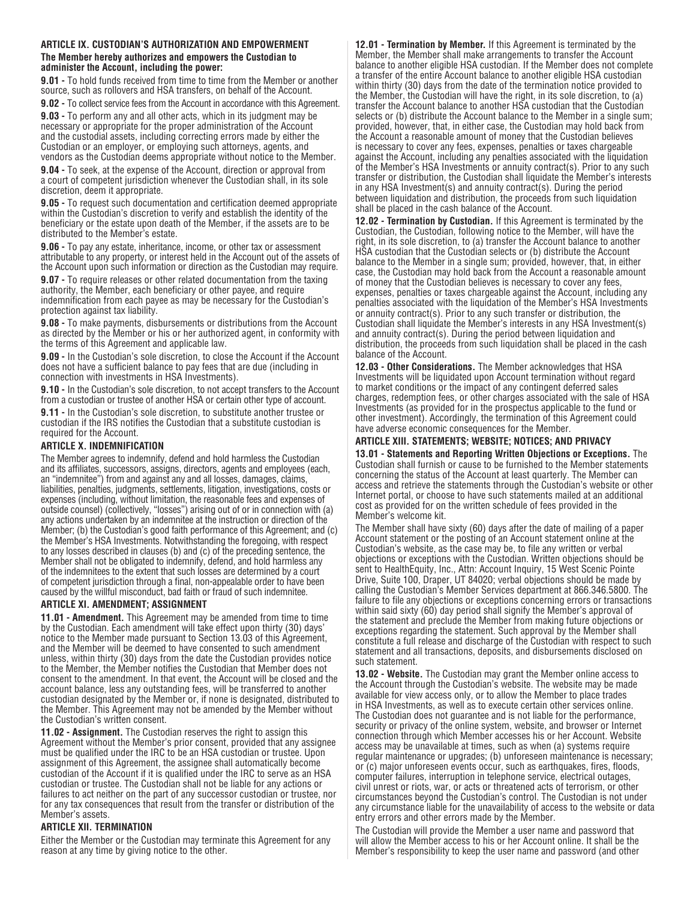# **ARTICLE IX. CUSTODIAN'S AUTHORIZATION AND EMPOWERMENT The Member hereby authorizes and empowers the Custodian to**

**administer the Account, including the power: 9.01 -** To hold funds received from time to time from the Member or another source, such as rollovers and HSA transfers, on behalf of the Account.

**9.02 -** To collect service fees from the Account in accordance with this Agreement.

**9.03 -** To perform any and all other acts, which in its judgment may be necessary or appropriate for the proper administration of the Account and the custodial assets, including correcting errors made by either the Custodian or an employer, or employing such attorneys, agents, and vendors as the Custodian deems appropriate without notice to the Member.

**9.04 -** To seek, at the expense of the Account, direction or approval from a court of competent jurisdiction whenever the Custodian shall, in its sole discretion, deem it appropriate.

**9.05 -** To request such documentation and certification deemed appropriate within the Custodian's discretion to verify and establish the identity of the beneficiary or the estate upon death of the Member, if the assets are to be distributed to the Member's estate.

**9.06 -** To pay any estate, inheritance, income, or other tax or assessment attributable to any property, or interest held in the Account out of the assets of the Account upon such information or direction as the Custodian may require.

**9.07 -** To require releases or other related documentation from the taxing authority, the Member, each beneficiary or other payee, and require indemnification from each payee as may be necessary for the Custodian's protection against tax liability.

**9.08 -** To make payments, disbursements or distributions from the Account as directed by the Member or his or her authorized agent, in conformity with the terms of this Agreement and applicable law.

**9.09 -** In the Custodian's sole discretion, to close the Account if the Account does not have a sufficient balance to pay fees that are due (including in connection with investments in HSA Investments).

**9.10 -** In the Custodian's sole discretion, to not accept transfers to the Account from a custodian or trustee of another HSA or certain other type of account.

**9.11 -** In the Custodian's sole discretion, to substitute another trustee or custodian if the IRS notifies the Custodian that a substitute custodian is required for the Account.

#### **ARTICLE X. INDEMNIFICATION**

The Member agrees to indemnify, defend and hold harmless the Custodian and its affiliates, successors, assigns, directors, agents and employees (each, an "indemnitee") from and against any and all losses, damages, claims, liabilities, penalties, judgments, settlements, litigation, investigations, costs or expenses (including, without limitation, the reasonable fees and expenses of outside counsel) (collectively, "losses") arising out of or in connection with (a) any actions undertaken by an indemnitee at the instruction or direction of the Member; (b) the Custodian's good faith performance of this Agreement; and (c) the Member's HSA Investments. Notwithstanding the foregoing, with respect to any losses described in clauses (b) and (c) of the preceding sentence, the Member shall not be obligated to indemnify, defend, and hold harmless any of the indemnitees to the extent that such losses are determined by a court of competent jurisdiction through a final, non-appealable order to have been caused by the willful misconduct, bad faith or fraud of such indemnitee.

#### **ARTICLE XI. AMENDMENT; ASSIGNMENT**

**11.01 - Amendment.** This Agreement may be amended from time to time by the Custodian. Each amendment will take effect upon thirty (30) days' notice to the Member made pursuant to Section 13.03 of this Agreement, and the Member will be deemed to have consented to such amendment unless, within thirty (30) days from the date the Custodian provides notice to the Member, the Member notifies the Custodian that Member does not consent to the amendment. In that event, the Account will be closed and the account balance, less any outstanding fees, will be transferred to another custodian designated by the Member or, if none is designated, distributed to the Member. This Agreement may not be amended by the Member without the Custodian's written consent.

**11.02 - Assignment.** The Custodian reserves the right to assign this Agreement without the Member's prior consent, provided that any assignee must be qualified under the IRC to be an HSA custodian or trustee. Upon assignment of this Agreement, the assignee shall automatically become custodian of the Account if it is qualified under the IRC to serve as an HSA custodian or trustee. The Custodian shall not be liable for any actions or failures to act neither on the part of any successor custodian or trustee, nor for any tax consequences that result from the transfer or distribution of the Member's assets.

# **ARTICLE XII. TERMINATION**

Either the Member or the Custodian may terminate this Agreement for any reason at any time by giving notice to the other.

**12.01 - Termination by Member.** If this Agreement is terminated by the Member, the Member shall make arrangements to transfer the Account balance to another eligible HSA custodian. If the Member does not complete a transfer of the entire Account balance to another eligible HSA custodian within thirty (30) days from the date of the termination notice provided to the Member, the Custodian will have the right, in its sole discretion, to (a) transfer the Account balance to another HSA custodian that the Custodian selects or (b) distribute the Account balance to the Member in a single sum; provided, however, that, in either case, the Custodian may hold back from the Account a reasonable amount of money that the Custodian believes is necessary to cover any fees, expenses, penalties or taxes chargeable against the Account, including any penalties associated with the liquidation of the Member's HSA Investments or annuity contract(s). Prior to any such transfer or distribution, the Custodian shall liquidate the Member's interests in any HSA Investment(s) and annuity contract(s). During the period between liquidation and distribution, the proceeds from such liquidation shall be placed in the cash balance of the Account.

**12.02 - Termination by Custodian.** If this Agreement is terminated by the Custodian, the Custodian, following notice to the Member, will have the right, in its sole discretion, to (a) transfer the Account balance to another HSA custodian that the Custodian selects or (b) distribute the Account balance to the Member in a single sum; provided, however, that, in either case, the Custodian may hold back from the Account a reasonable amount of money that the Custodian believes is necessary to cover any fees, expenses, penalties or taxes chargeable against the Account, including any penalties associated with the liquidation of the Member's HSA Investments or annuity contract(s). Prior to any such transfer or distribution, the Custodian shall liquidate the Member's interests in any HSA Investment(s) and annuity contract(s). During the period between liquidation and distribution, the proceeds from such liquidation shall be placed in the cash balance of the Account.

**12.03 - Other Considerations.** The Member acknowledges that HSA Investments will be liquidated upon Account termination without regard to market conditions or the impact of any contingent deferred sales charges, redemption fees, or other charges associated with the sale of HSA Investments (as provided for in the prospectus applicable to the fund or other investment). Accordingly, the termination of this Agreement could have adverse economic consequences for the Member.

# **ARTICLE XIII. STATEMENTS; WEBSITE; NOTICES; AND PRIVACY**

**13.01 - Statements and Reporting Written Objections or Exceptions.** The Custodian shall furnish or cause to be furnished to the Member statements concerning the status of the Account at least quarterly. The Member can access and retrieve the statements through the Custodian's website or other Internet portal, or choose to have such statements mailed at an additional cost as provided for on the written schedule of fees provided in the Member's welcome kit.

The Member shall have sixty (60) days after the date of mailing of a paper Account statement or the posting of an Account statement online at the Custodian's website, as the case may be, to file any written or verbal objections or exceptions with the Custodian. Written objections should be sent to HealthEquity, Inc., Attn: Account Inquiry, 15 West Scenic Pointe Drive, Suite 100, Draper, UT 84020; verbal objections should be made by calling the Custodian's Member Services department at 866.346.5800. The failure to file any objections or exceptions concerning errors or transactions within said sixty (60) day period shall signify the Member's approval of the statement and preclude the Member from making future objections or exceptions regarding the statement. Such approval by the Member shall constitute a full release and discharge of the Custodian with respect to such statement and all transactions, deposits, and disbursements disclosed on such statement.

**13.02 - Website.** The Custodian may grant the Member online access to the Account through the Custodian's website. The website may be made available for view access only, or to allow the Member to place trades in HSA Investments, as well as to execute certain other services online. The Custodian does not guarantee and is not liable for the performance, security or privacy of the online system, website, and browser or Internet connection through which Member accesses his or her Account. Website access may be unavailable at times, such as when (a) systems require regular maintenance or upgrades; (b) unforeseen maintenance is necessary; or (c) major unforeseen events occur, such as earthquakes, fires, floods, computer failures, interruption in telephone service, electrical outages, civil unrest or riots, war, or acts or threatened acts of terrorism, or other circumstances beyond the Custodian's control. The Custodian is not under any circumstance liable for the unavailability of access to the website or data entry errors and other errors made by the Member.

The Custodian will provide the Member a user name and password that will allow the Member access to his or her Account online. It shall be the Member's responsibility to keep the user name and password (and other